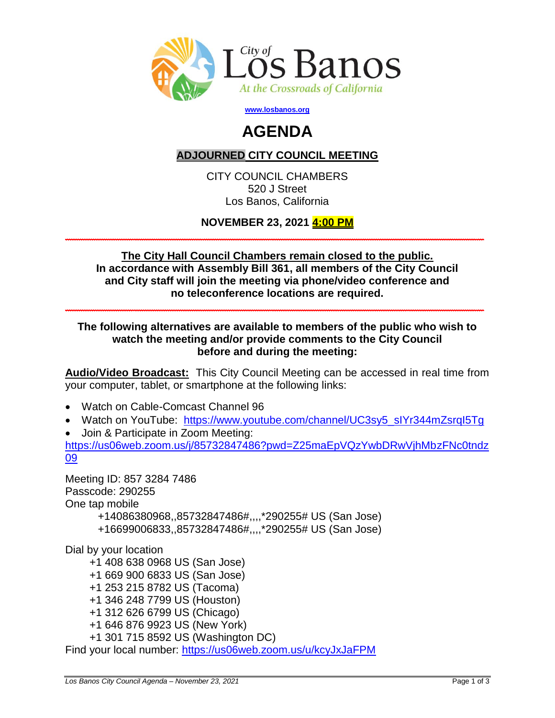

**[www.losbanos.org](http://www.losbanos.org/)**

## **AGENDA**

## **ADJOURNED CITY COUNCIL MEETING**

CITY COUNCIL CHAMBERS 520 J Street Los Banos, California

**NOVEMBER 23, 2021 4:00 PM \_\_\_\_\_\_\_\_\_\_\_\_\_\_\_\_\_\_\_\_\_\_\_\_\_\_\_\_\_\_\_\_\_\_\_\_\_\_\_\_\_\_\_\_\_\_\_\_\_\_\_\_\_\_\_\_\_\_\_\_\_\_\_\_\_\_\_\_\_\_\_\_\_\_\_\_\_**

**The City Hall Council Chambers remain closed to the public. In accordance with Assembly Bill 361, all members of the City Council and City staff will join the meeting via phone/video conference and no teleconference locations are required.** 

**\_\_\_\_\_\_\_\_\_\_\_\_\_\_\_\_\_\_\_\_\_\_\_\_\_\_\_\_\_\_\_\_\_\_\_\_\_\_\_\_\_\_\_\_\_\_\_\_\_\_\_\_\_\_\_\_\_\_\_\_\_\_\_\_\_\_\_\_\_\_\_\_\_\_\_\_\_**

**The following alternatives are available to members of the public who wish to watch the meeting and/or provide comments to the City Council before and during the meeting:**

**Audio/Video Broadcast:** This City Council Meeting can be accessed in real time from your computer, tablet, or smartphone at the following links:

- Watch on Cable-Comcast Channel 96
- Watch on YouTube: https://www.youtube.com/channel/UC3sy5\_sIYr344mZsrqI5Tq
- Join & Participate in Zoom Meeting:

[https://us06web.zoom.us/j/85732847486?pwd=Z25maEpVQzYwbDRwVjhMbzFNc0tndz](https://us06web.zoom.us/j/85732847486?pwd=Z25maEpVQzYwbDRwVjhMbzFNc0tndz09) [09](https://us06web.zoom.us/j/85732847486?pwd=Z25maEpVQzYwbDRwVjhMbzFNc0tndz09)

Meeting ID: 857 3284 7486 Passcode: 290255 One tap mobile +14086380968,,85732847486#,,,,\*290255# US (San Jose) +16699006833,,85732847486#,,,,\*290255# US (San Jose)

Dial by your location

+1 408 638 0968 US (San Jose)

- +1 669 900 6833 US (San Jose)
- +1 253 215 8782 US (Tacoma)
- +1 346 248 7799 US (Houston)
- +1 312 626 6799 US (Chicago)
- +1 646 876 9923 US (New York)
- +1 301 715 8592 US (Washington DC)

Find your local number:<https://us06web.zoom.us/u/kcyJxJaFPM>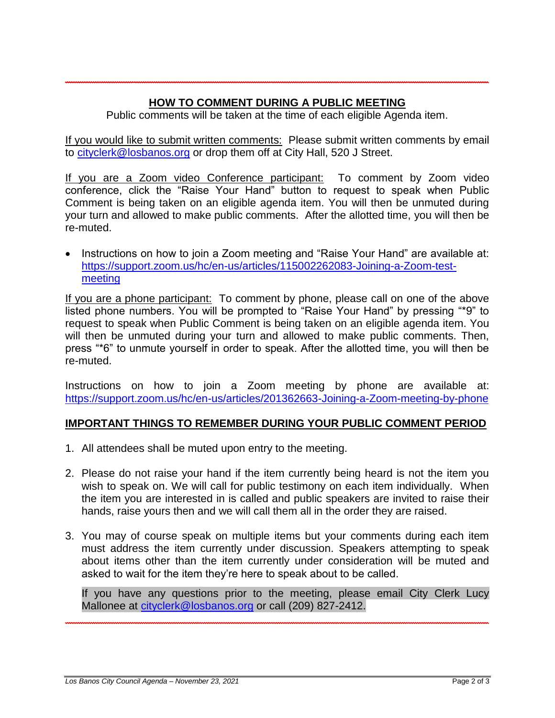## **HOW TO COMMENT DURING A PUBLIC MEETING**

**\_\_\_\_\_\_\_\_\_\_\_\_\_\_\_\_\_\_\_\_\_\_\_\_\_\_\_\_\_\_\_\_\_\_\_\_\_\_\_\_\_\_\_\_\_\_\_\_\_\_\_\_\_\_\_\_\_\_\_\_\_\_\_\_\_\_\_\_\_\_**

Public comments will be taken at the time of each eligible Agenda item.

If you would like to submit written comments: Please submit written comments by email to [cityclerk@losbanos.org](mailto:cityclerk@losbanos.org) or drop them off at City Hall, 520 J Street.

If you are a Zoom video Conference participant: To comment by Zoom video conference, click the "Raise Your Hand" button to request to speak when Public Comment is being taken on an eligible agenda item. You will then be unmuted during your turn and allowed to make public comments. After the allotted time, you will then be re-muted.

• Instructions on how to join a Zoom meeting and "Raise Your Hand" are available at: [https://support.zoom.us/hc/en-us/articles/115002262083-Joining-a-Zoom-test](https://support.zoom.us/hc/en-us/articles/115002262083-Joining-a-Zoom-test-meeting)[meeting](https://support.zoom.us/hc/en-us/articles/115002262083-Joining-a-Zoom-test-meeting)

If you are a phone participant: To comment by phone, please call on one of the above listed phone numbers. You will be prompted to "Raise Your Hand" by pressing "\*9" to request to speak when Public Comment is being taken on an eligible agenda item. You will then be unmuted during your turn and allowed to make public comments. Then, press "\*6" to unmute yourself in order to speak. After the allotted time, you will then be re-muted.

Instructions on how to join a Zoom meeting by phone are available at: <https://support.zoom.us/hc/en-us/articles/201362663-Joining-a-Zoom-meeting-by-phone>

## **IMPORTANT THINGS TO REMEMBER DURING YOUR PUBLIC COMMENT PERIOD**

- 1. All attendees shall be muted upon entry to the meeting.
- 2. Please do not raise your hand if the item currently being heard is not the item you wish to speak on. We will call for public testimony on each item individually. When the item you are interested in is called and public speakers are invited to raise their hands, raise yours then and we will call them all in the order they are raised.
- 3. You may of course speak on multiple items but your comments during each item must address the item currently under discussion. Speakers attempting to speak about items other than the item currently under consideration will be muted and asked to wait for the item they're here to speak about to be called.

If you have any questions prior to the meeting, please email City Clerk Lucy Mallonee at [cityclerk@losbanos.org](mailto:cityclerk@losbanos.org) or call (209) 827-2412.

**\_\_\_\_\_\_\_\_\_\_\_\_\_\_\_\_\_\_\_\_\_\_\_\_\_\_\_\_\_\_\_\_\_\_\_\_\_\_\_\_\_\_\_\_\_\_\_\_\_\_\_\_\_\_\_\_\_\_\_\_\_\_\_\_\_\_\_\_\_\_**